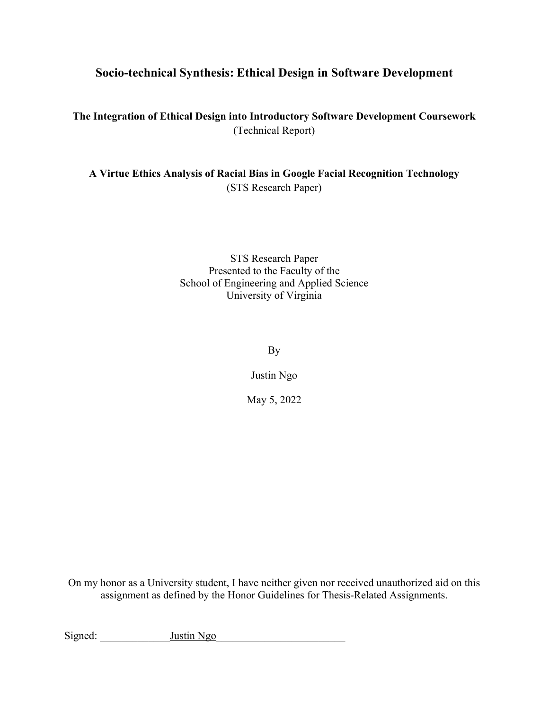## **Socio-technical Synthesis: Ethical Design in Software Development**

**The Integration of Ethical Design into Introductory Software Development Coursework** (Technical Report)

**A Virtue Ethics Analysis of Racial Bias in Google Facial Recognition Technology** (STS Research Paper)

> STS Research Paper Presented to the Faculty of the School of Engineering and Applied Science University of Virginia

> > By

Justin Ngo

May 5, 2022

On my honor as a University student, I have neither given nor received unauthorized aid on this assignment as defined by the Honor Guidelines for Thesis-Related Assignments.

Signed: Justin Ngo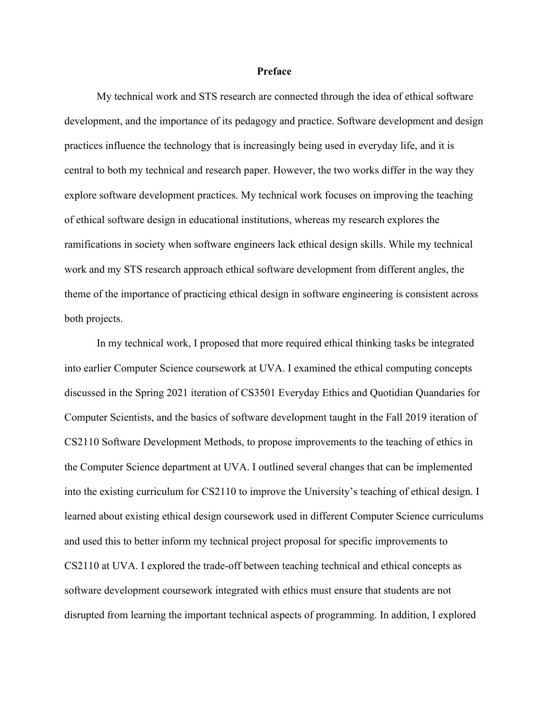## **Preface**

My technical work and STS research are connected through the idea of ethical software development, and the importance of its pedagogy and practice. Software development and design practices influence the technology that is increasingly being used in everyday life, and it is central to both my technical and research paper. However, the two works differ in the way they explore software development practices. My technical work focuses on improving the teaching of ethical software design in educational institutions, whereas my research explores the ramifications in society when software engineers lack ethical design skills. While my technical work and my STS research approach ethical software development from different angles, the theme of the importance of practicing ethical design in software engineering is consistent across both projects.

In my technical work, I proposed that more required ethical thinking tasks be integrated into earlier Computer Science coursework at UVA. I examined the ethical computing concepts discussed in the Spring 2021 iteration of CS3501 Everyday Ethics and Quotidian Quandaries for Computer Scientists, and the basics of software development taught in the Fall 2019 iteration of CS2110 Software Development Methods, to propose improvements to the teaching of ethics in the Computer Science department at UVA. I outlined several changes that can be implemented into the existing curriculum for CS2110 to improve the University's teaching of ethical design. I learned about existing ethical design coursework used in different Computer Science curriculums and used this to better inform my technical project proposal for specific improvements to CS2110 at UVA. I explored the trade-off between teaching technical and ethical concepts as software development coursework integrated with ethics must ensure that students are not disrupted from learning the important technical aspects of programming. In addition, I explored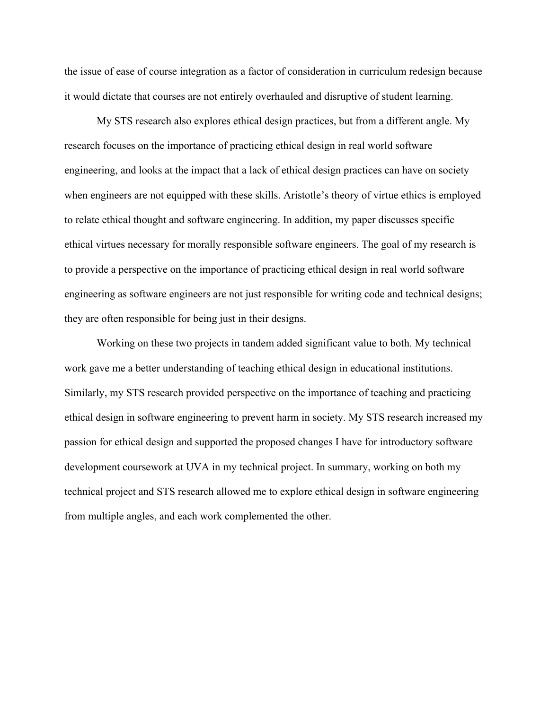the issue of ease of course integration as a factor of consideration in curriculum redesign because it would dictate that courses are not entirely overhauled and disruptive of student learning.

My STS research also explores ethical design practices, but from a different angle. My research focuses on the importance of practicing ethical design in real world software engineering, and looks at the impact that a lack of ethical design practices can have on society when engineers are not equipped with these skills. Aristotle's theory of virtue ethics is employed to relate ethical thought and software engineering. In addition, my paper discusses specific ethical virtues necessary for morally responsible software engineers. The goal of my research is to provide a perspective on the importance of practicing ethical design in real world software engineering as software engineers are not just responsible for writing code and technical designs; they are often responsible for being just in their designs.

Working on these two projects in tandem added significant value to both. My technical work gave me a better understanding of teaching ethical design in educational institutions. Similarly, my STS research provided perspective on the importance of teaching and practicing ethical design in software engineering to prevent harm in society. My STS research increased my passion for ethical design and supported the proposed changes I have for introductory software development coursework at UVA in my technical project. In summary, working on both my technical project and STS research allowed me to explore ethical design in software engineering from multiple angles, and each work complemented the other.